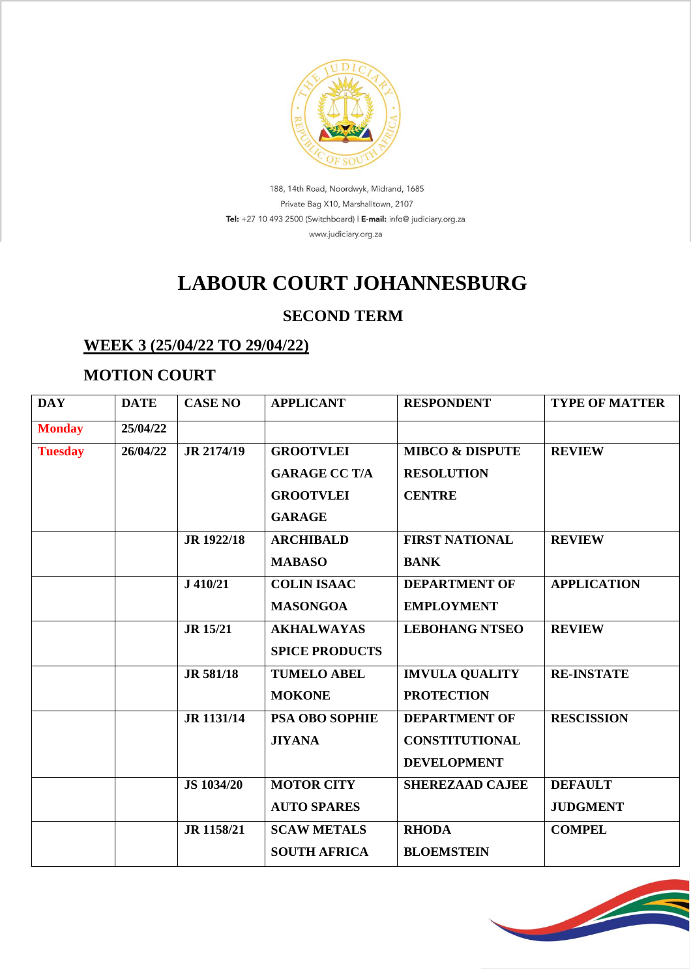

188, 14th Road, Noordwyk, Midrand, 1685 Private Bag X10, Marshalltown, 2107 Tel: +27 10 493 2500 (Switchboard) | E-mail: info@ judiciary.org.za www.judiciary.org.za

# **LABOUR COURT JOHANNESBURG**

### **SECOND TERM**

#### **WEEK 3 (25/04/22 TO 29/04/22)**

### **MOTION COURT**

| <b>DAY</b>     | <b>DATE</b> | <b>CASE NO</b>    | <b>APPLICANT</b>      | <b>RESPONDENT</b>          | <b>TYPE OF MATTER</b> |
|----------------|-------------|-------------------|-----------------------|----------------------------|-----------------------|
| <b>Monday</b>  | 25/04/22    |                   |                       |                            |                       |
| <b>Tuesday</b> | 26/04/22    | JR 2174/19        | <b>GROOTVLEI</b>      | <b>MIBCO &amp; DISPUTE</b> | <b>REVIEW</b>         |
|                |             |                   | <b>GARAGE CC T/A</b>  | <b>RESOLUTION</b>          |                       |
|                |             |                   | <b>GROOTVLEI</b>      | <b>CENTRE</b>              |                       |
|                |             |                   | <b>GARAGE</b>         |                            |                       |
|                |             | JR 1922/18        | <b>ARCHIBALD</b>      | <b>FIRST NATIONAL</b>      | <b>REVIEW</b>         |
|                |             |                   | <b>MABASO</b>         | <b>BANK</b>                |                       |
|                |             | $J$ 410/21        | <b>COLIN ISAAC</b>    | <b>DEPARTMENT OF</b>       | <b>APPLICATION</b>    |
|                |             |                   | <b>MASONGOA</b>       | <b>EMPLOYMENT</b>          |                       |
|                |             | <b>JR</b> 15/21   | <b>AKHALWAYAS</b>     | <b>LEBOHANG NTSEO</b>      | <b>REVIEW</b>         |
|                |             |                   | <b>SPICE PRODUCTS</b> |                            |                       |
|                |             | <b>JR 581/18</b>  | <b>TUMELO ABEL</b>    | <b>IMVULA QUALITY</b>      | <b>RE-INSTATE</b>     |
|                |             |                   | <b>MOKONE</b>         | <b>PROTECTION</b>          |                       |
|                |             | JR 1131/14        | <b>PSA OBO SOPHIE</b> | <b>DEPARTMENT OF</b>       | <b>RESCISSION</b>     |
|                |             |                   | <b>JIYANA</b>         | <b>CONSTITUTIONAL</b>      |                       |
|                |             |                   |                       | <b>DEVELOPMENT</b>         |                       |
|                |             | <b>JS 1034/20</b> | <b>MOTOR CITY</b>     | <b>SHEREZAAD CAJEE</b>     | <b>DEFAULT</b>        |
|                |             |                   | <b>AUTO SPARES</b>    |                            | <b>JUDGMENT</b>       |
|                |             | JR 1158/21        | <b>SCAW METALS</b>    | <b>RHODA</b>               | <b>COMPEL</b>         |
|                |             |                   | <b>SOUTH AFRICA</b>   | <b>BLOEMSTEIN</b>          |                       |

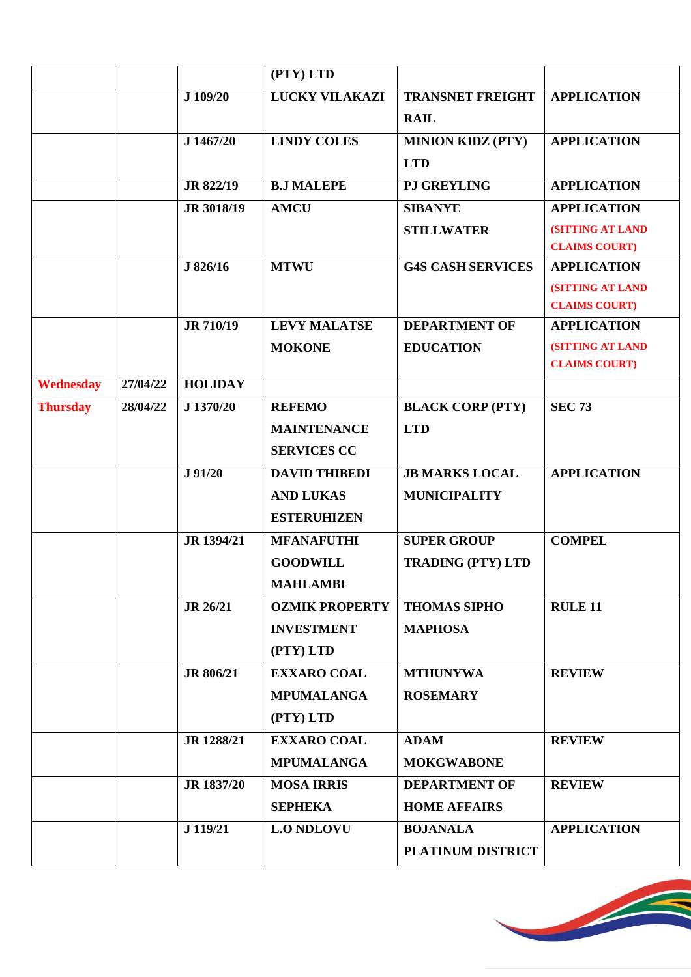|                 |          |                  | (PTY) LTD             |                          |                         |
|-----------------|----------|------------------|-----------------------|--------------------------|-------------------------|
|                 |          | J 109/20         | LUCKY VILAKAZI        | <b>TRANSNET FREIGHT</b>  | <b>APPLICATION</b>      |
|                 |          |                  |                       | <b>RAIL</b>              |                         |
|                 |          | J 1467/20        | <b>LINDY COLES</b>    | <b>MINION KIDZ (PTY)</b> | <b>APPLICATION</b>      |
|                 |          |                  |                       | <b>LTD</b>               |                         |
|                 |          | JR 822/19        | <b>B.J MALEPE</b>     | <b>PJ GREYLING</b>       | <b>APPLICATION</b>      |
|                 |          | JR 3018/19       | <b>AMCU</b>           | <b>SIBANYE</b>           | <b>APPLICATION</b>      |
|                 |          |                  |                       | <b>STILLWATER</b>        | <b>(SITTING AT LAND</b> |
|                 |          |                  |                       |                          | <b>CLAIMS COURT)</b>    |
|                 |          | J 826/16         | <b>MTWU</b>           | <b>G4S CASH SERVICES</b> | <b>APPLICATION</b>      |
|                 |          |                  |                       |                          | <b>(SITTING AT LAND</b> |
|                 |          |                  |                       |                          | <b>CLAIMS COURT)</b>    |
|                 |          | <b>JR 710/19</b> | <b>LEVY MALATSE</b>   | <b>DEPARTMENT OF</b>     | <b>APPLICATION</b>      |
|                 |          |                  | <b>MOKONE</b>         | <b>EDUCATION</b>         | <b>(SITTING AT LAND</b> |
|                 |          |                  |                       |                          | <b>CLAIMS COURT)</b>    |
| Wednesday       | 27/04/22 | <b>HOLIDAY</b>   |                       |                          |                         |
| <b>Thursday</b> | 28/04/22 | J 1370/20        | <b>REFEMO</b>         | <b>BLACK CORP (PTY)</b>  | <b>SEC 73</b>           |
|                 |          |                  | <b>MAINTENANCE</b>    | <b>LTD</b>               |                         |
|                 |          |                  | <b>SERVICES CC</b>    |                          |                         |
|                 |          | J 91/20          | <b>DAVID THIBEDI</b>  | <b>JB MARKS LOCAL</b>    | <b>APPLICATION</b>      |
|                 |          |                  | <b>AND LUKAS</b>      | <b>MUNICIPALITY</b>      |                         |
|                 |          |                  | <b>ESTERUHIZEN</b>    |                          |                         |
|                 |          | JR 1394/21       | <b>MFANAFUTHI</b>     | <b>SUPER GROUP</b>       | <b>COMPEL</b>           |
|                 |          |                  | <b>GOODWILL</b>       | <b>TRADING (PTY) LTD</b> |                         |
|                 |          |                  | <b>MAHLAMBI</b>       |                          |                         |
|                 |          | JR 26/21         | <b>OZMIK PROPERTY</b> | <b>THOMAS SIPHO</b>      | <b>RULE 11</b>          |
|                 |          |                  | <b>INVESTMENT</b>     | <b>MAPHOSA</b>           |                         |
|                 |          |                  | (PTY) LTD             |                          |                         |
|                 |          | JR 806/21        | <b>EXXARO COAL</b>    | <b>MTHUNYWA</b>          | <b>REVIEW</b>           |
|                 |          |                  | <b>MPUMALANGA</b>     | <b>ROSEMARY</b>          |                         |
|                 |          |                  | (PTY) LTD             |                          |                         |
|                 |          | JR 1288/21       | <b>EXXARO COAL</b>    | <b>ADAM</b>              | <b>REVIEW</b>           |
|                 |          |                  | <b>MPUMALANGA</b>     | <b>MOKGWABONE</b>        |                         |
|                 |          | JR 1837/20       | <b>MOSA IRRIS</b>     | <b>DEPARTMENT OF</b>     | <b>REVIEW</b>           |
|                 |          |                  | <b>SEPHEKA</b>        | <b>HOME AFFAIRS</b>      |                         |
|                 |          | J 119/21         | <b>L.O NDLOVU</b>     | <b>BOJANALA</b>          | <b>APPLICATION</b>      |
|                 |          |                  |                       | PLATINUM DISTRICT        |                         |

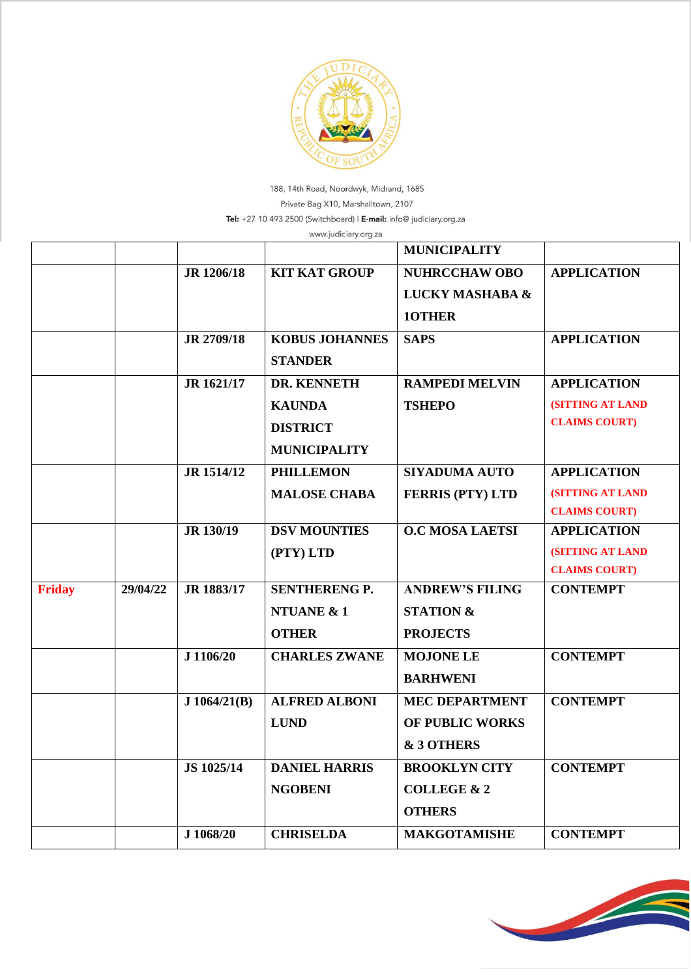

188, 14th Road, Noordwyk, Midrand, 1685 Private Bag X10, Marshalltown, 2107 Tel: +27 10 493 2500 (Switchboard) | E-mail: info@ judiciary.org.za

|               |          |              | www.judiciary.org.za  |                            |                         |
|---------------|----------|--------------|-----------------------|----------------------------|-------------------------|
|               |          |              |                       | <b>MUNICIPALITY</b>        |                         |
|               |          | JR 1206/18   | <b>KIT KAT GROUP</b>  | <b>NUHRCCHAW OBO</b>       | <b>APPLICATION</b>      |
|               |          |              |                       | <b>LUCKY MASHABA &amp;</b> |                         |
|               |          |              |                       | 10THER                     |                         |
|               |          | JR 2709/18   | <b>KOBUS JOHANNES</b> | <b>SAPS</b>                | <b>APPLICATION</b>      |
|               |          |              | <b>STANDER</b>        |                            |                         |
|               |          | JR 1621/17   | DR. KENNETH           | <b>RAMPEDI MELVIN</b>      | <b>APPLICATION</b>      |
|               |          |              | <b>KAUNDA</b>         | <b>TSHEPO</b>              | <b>(SITTING AT LAND</b> |
|               |          |              | <b>DISTRICT</b>       |                            | <b>CLAIMS COURT)</b>    |
|               |          |              | <b>MUNICIPALITY</b>   |                            |                         |
|               |          | JR 1514/12   | <b>PHILLEMON</b>      | <b>SIYADUMA AUTO</b>       | <b>APPLICATION</b>      |
|               |          |              | <b>MALOSE CHABA</b>   | <b>FERRIS (PTY) LTD</b>    | <b>(SITTING AT LAND</b> |
|               |          |              |                       |                            | <b>CLAIMS COURT)</b>    |
|               |          | JR 130/19    | <b>DSV MOUNTIES</b>   | <b>O.C MOSA LAETSI</b>     | <b>APPLICATION</b>      |
|               |          |              | (PTY) LTD             |                            | <b>(SITTING AT LAND</b> |
|               |          |              |                       |                            | <b>CLAIMS COURT)</b>    |
| <b>Friday</b> | 29/04/22 | JR 1883/17   | <b>SENTHERENG P.</b>  | <b>ANDREW'S FILING</b>     | <b>CONTEMPT</b>         |
|               |          |              | <b>NTUANE &amp; 1</b> | <b>STATION &amp;</b>       |                         |
|               |          |              | <b>OTHER</b>          | <b>PROJECTS</b>            |                         |
|               |          | J 1106/20    | <b>CHARLES ZWANE</b>  | <b>MOJONE LE</b>           | <b>CONTEMPT</b>         |
|               |          |              |                       | <b>BARHWENI</b>            |                         |
|               |          | J 1064/21(B) | <b>ALFRED ALBONI</b>  | <b>MEC DEPARTMENT</b>      | <b>CONTEMPT</b>         |
|               |          |              | <b>LUND</b>           | <b>OF PUBLIC WORKS</b>     |                         |
|               |          |              |                       | & 3 OTHERS                 |                         |
|               |          | JS 1025/14   | <b>DANIEL HARRIS</b>  | <b>BROOKLYN CITY</b>       | <b>CONTEMPT</b>         |
|               |          |              | <b>NGOBENI</b>        | <b>COLLEGE &amp; 2</b>     |                         |
|               |          |              |                       | <b>OTHERS</b>              |                         |
|               |          | J 1068/20    | <b>CHRISELDA</b>      | <b>MAKGOTAMISHE</b>        | <b>CONTEMPT</b>         |

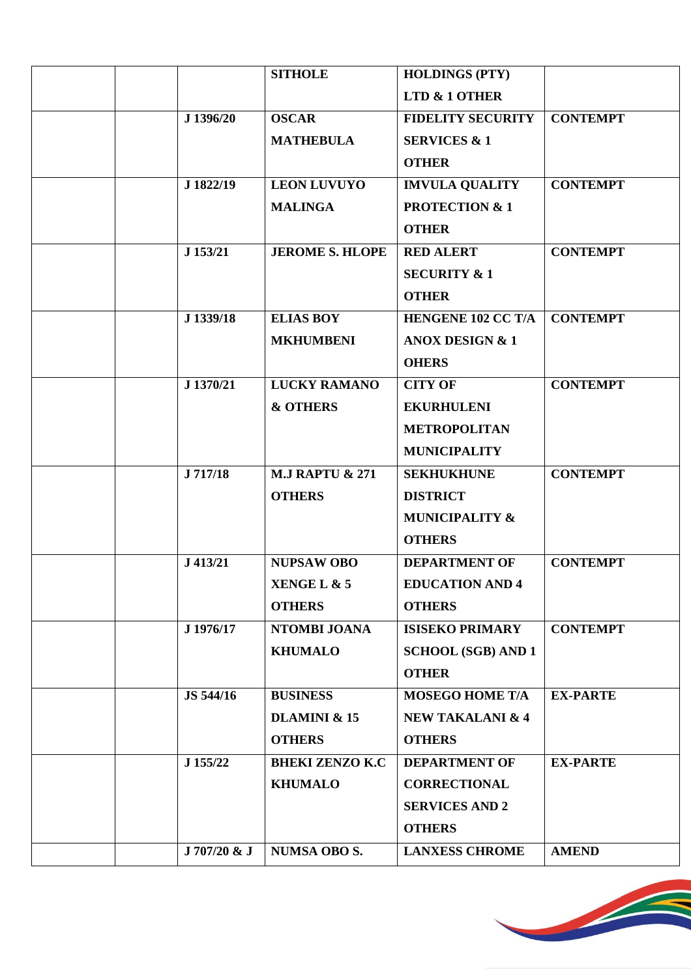|              | <b>SITHOLE</b>             | <b>HOLDINGS (PTY)</b>       |                 |
|--------------|----------------------------|-----------------------------|-----------------|
|              |                            | LTD & 1 OTHER               |                 |
| J 1396/20    | <b>OSCAR</b>               | <b>FIDELITY SECURITY</b>    | <b>CONTEMPT</b> |
|              | <b>MATHEBULA</b>           | <b>SERVICES &amp; 1</b>     |                 |
|              |                            | <b>OTHER</b>                |                 |
| J 1822/19    | <b>LEON LUVUYO</b>         | <b>IMVULA QUALITY</b>       | <b>CONTEMPT</b> |
|              | <b>MALINGA</b>             | <b>PROTECTION &amp; 1</b>   |                 |
|              |                            | <b>OTHER</b>                |                 |
| J 153/21     | <b>JEROME S. HLOPE</b>     | <b>RED ALERT</b>            | <b>CONTEMPT</b> |
|              |                            | <b>SECURITY &amp; 1</b>     |                 |
|              |                            | <b>OTHER</b>                |                 |
| J 1339/18    | <b>ELIAS BOY</b>           | <b>HENGENE 102 CC T/A</b>   | <b>CONTEMPT</b> |
|              | <b>MKHUMBENI</b>           | <b>ANOX DESIGN &amp; 1</b>  |                 |
|              |                            | <b>OHERS</b>                |                 |
| J 1370/21    | <b>LUCKY RAMANO</b>        | <b>CITY OF</b>              | <b>CONTEMPT</b> |
|              | <b>&amp; OTHERS</b>        | <b>EKURHULENI</b>           |                 |
|              |                            | <b>METROPOLITAN</b>         |                 |
|              |                            | <b>MUNICIPALITY</b>         |                 |
| J 717/18     | <b>M.J RAPTU &amp; 271</b> | <b>SEKHUKHUNE</b>           | <b>CONTEMPT</b> |
|              | <b>OTHERS</b>              | <b>DISTRICT</b>             |                 |
|              |                            | <b>MUNICIPALITY &amp;</b>   |                 |
|              |                            | <b>OTHERS</b>               |                 |
| J 413/21     | <b>NUPSAW OBO</b>          | <b>DEPARTMENT OF</b>        | <b>CONTEMPT</b> |
|              | XENGE L & 5                | <b>EDUCATION AND 4</b>      |                 |
|              | <b>OTHERS</b>              | <b>OTHERS</b>               |                 |
| J 1976/17    | NTOMBI JOANA               | <b>ISISEKO PRIMARY</b>      | <b>CONTEMPT</b> |
|              | <b>KHUMALO</b>             | <b>SCHOOL (SGB) AND 1</b>   |                 |
|              |                            | <b>OTHER</b>                |                 |
| JS 544/16    | <b>BUSINESS</b>            | <b>MOSEGO HOME T/A</b>      | <b>EX-PARTE</b> |
|              | <b>DLAMINI &amp; 15</b>    | <b>NEW TAKALANI &amp; 4</b> |                 |
|              | <b>OTHERS</b>              | <b>OTHERS</b>               |                 |
| J 155/22     | <b>BHEKI ZENZO K.C</b>     | <b>DEPARTMENT OF</b>        | <b>EX-PARTE</b> |
|              | <b>KHUMALO</b>             | <b>CORRECTIONAL</b>         |                 |
|              |                            | <b>SERVICES AND 2</b>       |                 |
|              |                            | <b>OTHERS</b>               |                 |
| J 707/20 & J | <b>NUMSA OBO S.</b>        | <b>LANXESS CHROME</b>       | <b>AMEND</b>    |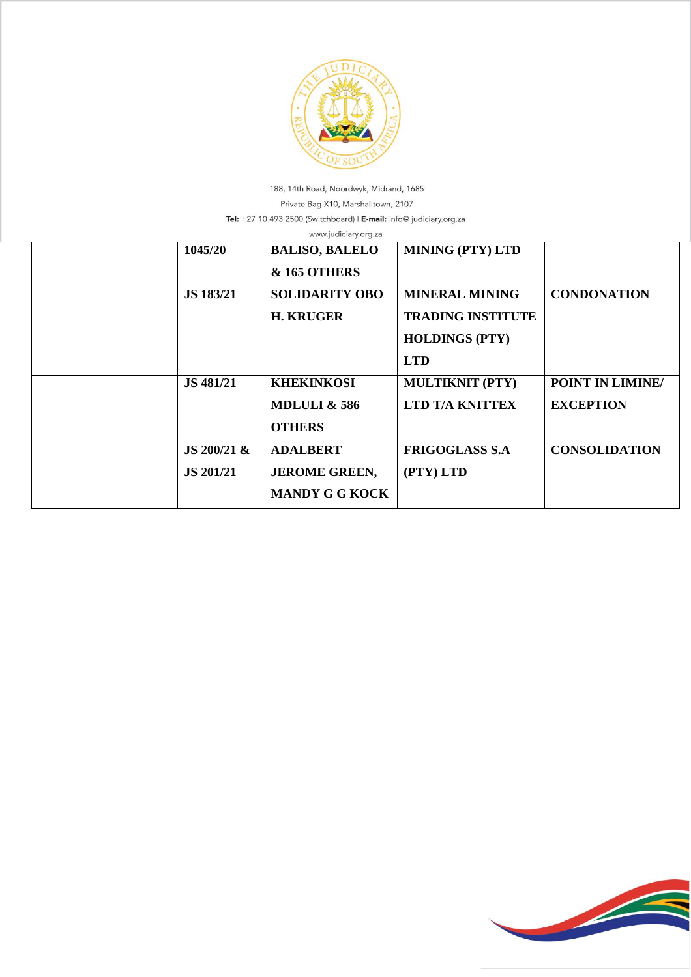

188, 14th Road, Noordwyk, Midrand, 1685 Private Bag X10, Marshalltown, 2107 Tel: +27 10 493 2500 (Switchboard) | E-mail: info@ judiciary.org.za

|  | 1045/20          | <b>BALISO, BALELO</b>   | <b>MINING (PTY) LTD</b>  |                      |
|--|------------------|-------------------------|--------------------------|----------------------|
|  |                  |                         |                          |                      |
|  |                  | <b>&amp; 165 OTHERS</b> |                          |                      |
|  | JS 183/21        | <b>SOLIDARITY OBO</b>   | <b>MINERAL MINING</b>    | <b>CONDONATION</b>   |
|  |                  | <b>H. KRUGER</b>        | <b>TRADING INSTITUTE</b> |                      |
|  |                  |                         | <b>HOLDINGS (PTY)</b>    |                      |
|  |                  |                         | <b>LTD</b>               |                      |
|  | JS 481/21        | <b>KHEKINKOSI</b>       | <b>MULTIKNIT (PTY)</b>   | POINT IN LIMINE/     |
|  |                  | <b>MDLULI &amp; 586</b> | <b>LTD T/A KNITTEX</b>   | <b>EXCEPTION</b>     |
|  |                  | <b>OTHERS</b>           |                          |                      |
|  | JS $200/21$ &    | <b>ADALBERT</b>         | <b>FRIGOGLASS S.A.</b>   | <b>CONSOLIDATION</b> |
|  | <b>JS 201/21</b> | <b>JEROME GREEN,</b>    | (PTY) LTD                |                      |
|  |                  | <b>MANDY G G KOCK</b>   |                          |                      |

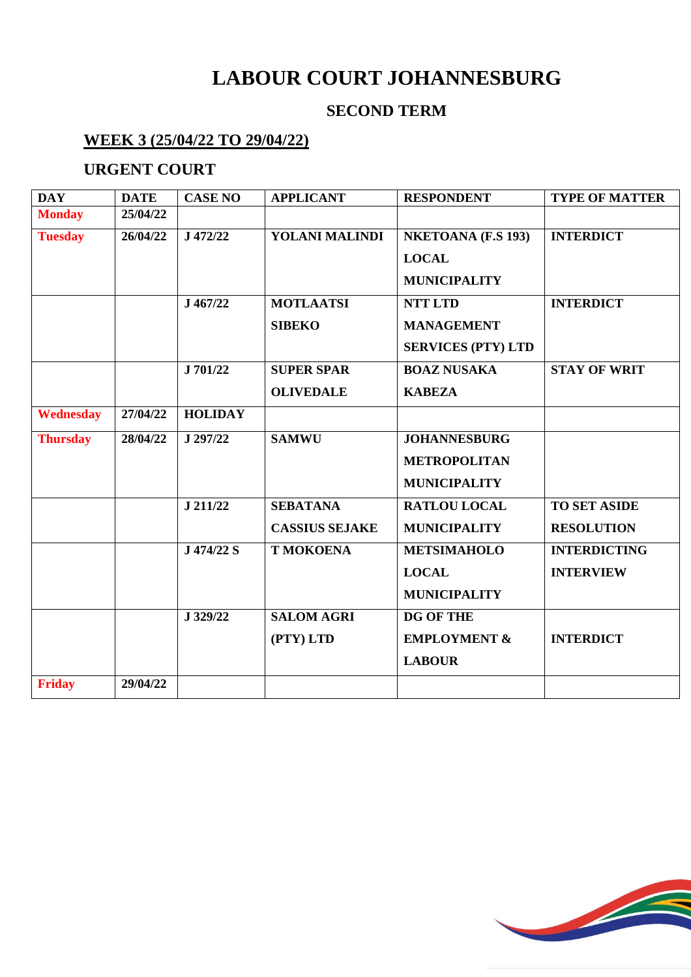# **LABOUR COURT JOHANNESBURG**

#### **SECOND TERM**

#### **WEEK 3 (25/04/22 TO 29/04/22)**

#### **URGENT COURT**

| <b>DAY</b>      | <b>DATE</b> | <b>CASE NO</b> | <b>APPLICANT</b>      | <b>RESPONDENT</b>         | <b>TYPE OF MATTER</b> |
|-----------------|-------------|----------------|-----------------------|---------------------------|-----------------------|
| <b>Monday</b>   | 25/04/22    |                |                       |                           |                       |
| <b>Tuesday</b>  | 26/04/22    | J 472/22       | YOLANI MALINDI        | <b>NKETOANA (F.S 193)</b> | <b>INTERDICT</b>      |
|                 |             |                |                       | <b>LOCAL</b>              |                       |
|                 |             |                |                       | <b>MUNICIPALITY</b>       |                       |
|                 |             | J 467/22       | <b>MOTLAATSI</b>      | <b>NTT LTD</b>            | <b>INTERDICT</b>      |
|                 |             |                | <b>SIBEKO</b>         | <b>MANAGEMENT</b>         |                       |
|                 |             |                |                       | <b>SERVICES (PTY) LTD</b> |                       |
|                 |             | J 701/22       | <b>SUPER SPAR</b>     | <b>BOAZ NUSAKA</b>        | <b>STAY OF WRIT</b>   |
|                 |             |                | <b>OLIVEDALE</b>      | <b>KABEZA</b>             |                       |
| Wednesday       | 27/04/22    | <b>HOLIDAY</b> |                       |                           |                       |
| <b>Thursday</b> | 28/04/22    | J 297/22       | <b>SAMWU</b>          | <b>JOHANNESBURG</b>       |                       |
|                 |             |                |                       | <b>METROPOLITAN</b>       |                       |
|                 |             |                |                       | <b>MUNICIPALITY</b>       |                       |
|                 |             | J 211/22       | <b>SEBATANA</b>       | <b>RATLOU LOCAL</b>       | <b>TO SET ASIDE</b>   |
|                 |             |                | <b>CASSIUS SEJAKE</b> | <b>MUNICIPALITY</b>       | <b>RESOLUTION</b>     |
|                 |             | J 474/22 S     | <b>T MOKOENA</b>      | <b>METSIMAHOLO</b>        | <b>INTERDICTING</b>   |
|                 |             |                |                       | <b>LOCAL</b>              | <b>INTERVIEW</b>      |
|                 |             |                |                       | <b>MUNICIPALITY</b>       |                       |
|                 |             | J 329/22       | <b>SALOM AGRI</b>     | <b>DG OF THE</b>          |                       |
|                 |             |                | (PTY) LTD             | <b>EMPLOYMENT &amp;</b>   | <b>INTERDICT</b>      |
|                 |             |                |                       | <b>LABOUR</b>             |                       |
| <b>Friday</b>   | 29/04/22    |                |                       |                           |                       |